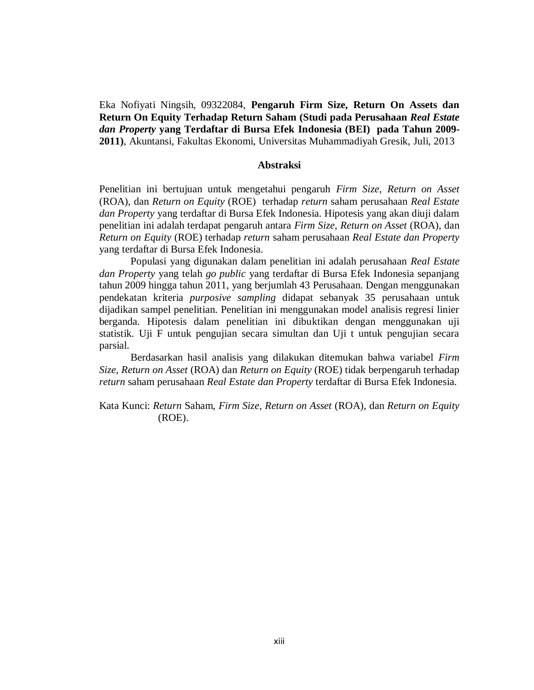Eka Nofiyati Ningsih, 09322084, **Pengaruh Firm Size, Return On Assets dan Return On Equity Terhadap Return Saham (Studi pada Perusahaan** *Real Estate dan Property* **yang Terdaftar di Bursa Efek Indonesia (BEI) pada Tahun 2009- 2011)**, Akuntansi, Fakultas Ekonomi, Universitas Muhammadiyah Gresik, Juli, 2013

## **Abstraksi**

Penelitian ini bertujuan untuk mengetahui pengaruh *Firm Size, Return on Asset*  (ROA), dan *Return on Equity* (ROE) terhadap *return* saham perusahaan *Real Estate dan Property* yang terdaftar di Bursa Efek Indonesia. Hipotesis yang akan diuji dalam penelitian ini adalah terdapat pengaruh antara *Firm Size, Return on Asset* (ROA), dan *Return on Equity* (ROE) terhadap *return* saham perusahaan *Real Estate dan Property* yang terdaftar di Bursa Efek Indonesia.

Populasi yang digunakan dalam penelitian ini adalah perusahaan *Real Estate dan Property* yang telah *go public* yang terdaftar di Bursa Efek Indonesia sepanjang tahun 2009 hingga tahun 2011, yang berjumlah 43 Perusahaan. Dengan menggunakan pendekatan kriteria *purposive sampling* didapat sebanyak 35 perusahaan untuk dijadikan sampel penelitian. Penelitian ini menggunakan model analisis regresi linier berganda. Hipotesis dalam penelitian ini dibuktikan dengan menggunakan uji statistik. Uji F untuk pengujian secara simultan dan Uji t untuk pengujian secara parsial.

Berdasarkan hasil analisis yang dilakukan ditemukan bahwa variabel *Firm Size, Return on Asset* (ROA) dan *Return on Equity* (ROE) tidak berpengaruh terhadap *return* saham perusahaan *Real Estate dan Property* terdaftar di Bursa Efek Indonesia.

Kata Kunci: *Return* Saham, *Firm Size, Return on Asset* (ROA), dan *Return on Equity*  (ROE).